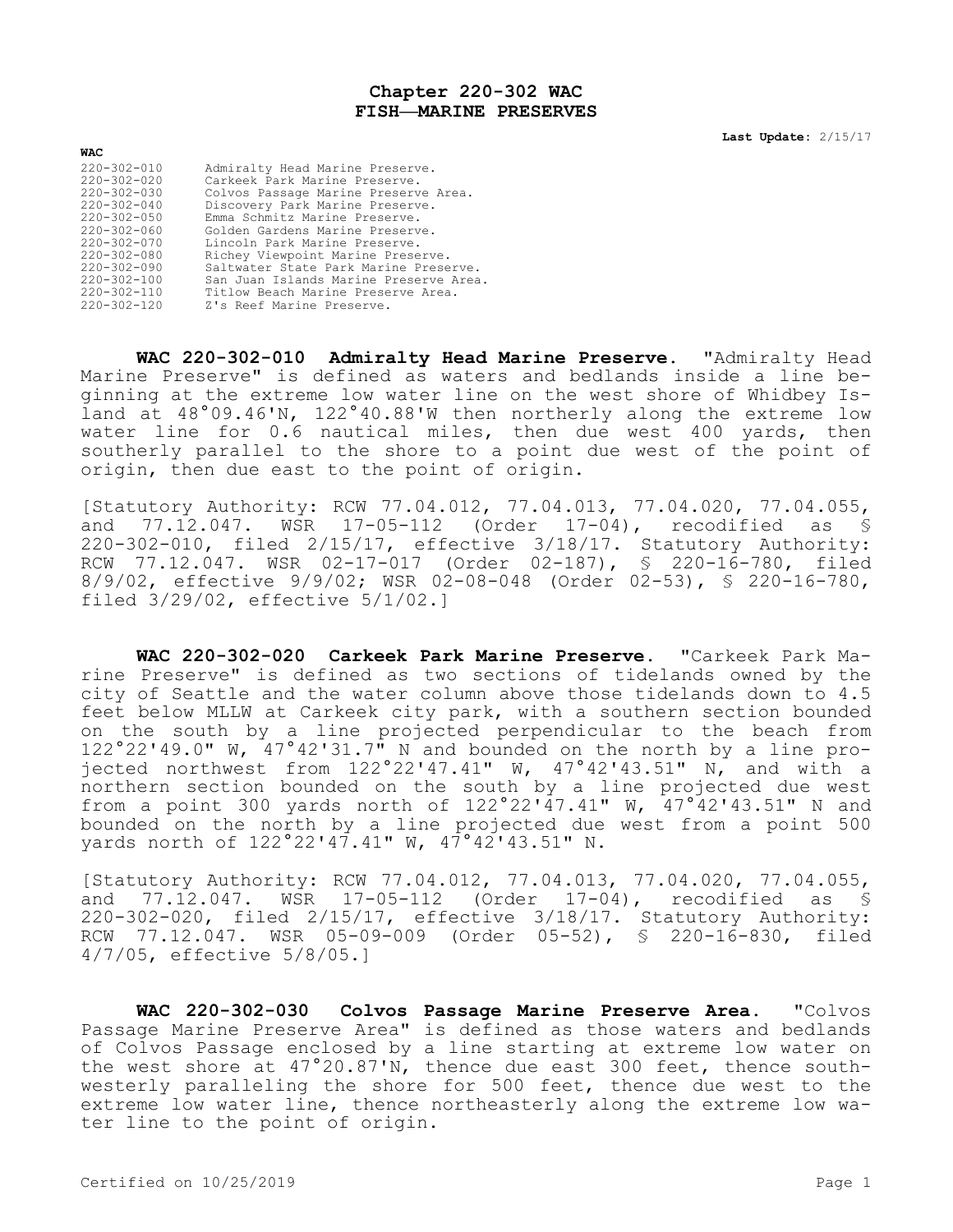## **Chapter 220-302 WAC FISH—MARINE PRESERVES**

**Last Update:** 2/15/17

| <b>WAC</b>        |                                        |
|-------------------|----------------------------------------|
| $220 - 302 - 010$ | Admiralty Head Marine Preserve.        |
| $220 - 302 - 020$ | Carkeek Park Marine Preserve.          |
| $220 - 302 - 030$ | Colvos Passage Marine Preserve Area.   |
| $220 - 302 - 040$ | Discovery Park Marine Preserve.        |
| $220 - 302 - 050$ | Emma Schmitz Marine Preserve.          |
| $220 - 302 - 060$ | Golden Gardens Marine Preserve.        |
| $220 - 302 - 070$ | Lincoln Park Marine Preserve.          |
| $220 - 302 - 080$ | Richey Viewpoint Marine Preserve.      |
| $220 - 302 - 090$ | Saltwater State Park Marine Preserve.  |
| $220 - 302 - 100$ | San Juan Islands Marine Preserve Area. |
| $220 - 302 - 110$ | Titlow Beach Marine Preserve Area.     |
| $220 - 302 - 120$ | Z's Reef Marine Preserve.              |

**WAC 220-302-010 Admiralty Head Marine Preserve.** "Admiralty Head Marine Preserve" is defined as waters and bedlands inside a line beginning at the extreme low water line on the west shore of Whidbey Island at 48°09.46'N, 122°40.88'W then northerly along the extreme low water line for 0.6 nautical miles, then due west 400 yards, then southerly parallel to the shore to a point due west of the point of origin, then due east to the point of origin.

[Statutory Authority: RCW 77.04.012, 77.04.013, 77.04.020, 77.04.055, and 77.12.047. WSR 17-05-112 (Order 17-04), recodified as § 220-302-010, filed 2/15/17, effective 3/18/17. Statutory Authority: RCW 77.12.047. WSR 02-17-017 (Order 02-187), § 220-16-780, filed 8/9/02, effective 9/9/02; WSR 02-08-048 (Order 02-53), § 220-16-780, filed 3/29/02, effective 5/1/02.]

**WAC 220-302-020 Carkeek Park Marine Preserve.** "Carkeek Park Marine Preserve" is defined as two sections of tidelands owned by the city of Seattle and the water column above those tidelands down to 4.5 feet below MLLW at Carkeek city park, with a southern section bounded on the south by a line projected perpendicular to the beach from 122°22'49.0" W, 47°42'31.7" N and bounded on the north by a line projected northwest from 122°22'47.41" W, 47°42'43.51" N, and with a northern section bounded on the south by a line projected due west from a point 300 yards north of 122°22'47.41" W, 47°42'43.51" N and bounded on the north by a line projected due west from a point 500 yards north of 122°22'47.41" W, 47°42'43.51" N.

[Statutory Authority: RCW 77.04.012, 77.04.013, 77.04.020, 77.04.055, and 77.12.047. WSR 17-05-112 (Order 17-04), recodified as § 220-302-020, filed 2/15/17, effective 3/18/17. Statutory Authority: RCW 77.12.047. WSR 05-09-009 (Order 05-52), § 220-16-830, filed 4/7/05, effective 5/8/05.]

**WAC 220-302-030 Colvos Passage Marine Preserve Area.** "Colvos Passage Marine Preserve Area" is defined as those waters and bedlands of Colvos Passage enclosed by a line starting at extreme low water on the west shore at 47°20.87'N, thence due east 300 feet, thence southwesterly paralleling the shore for 500 feet, thence due west to the extreme low water line, thence northeasterly along the extreme low water line to the point of origin.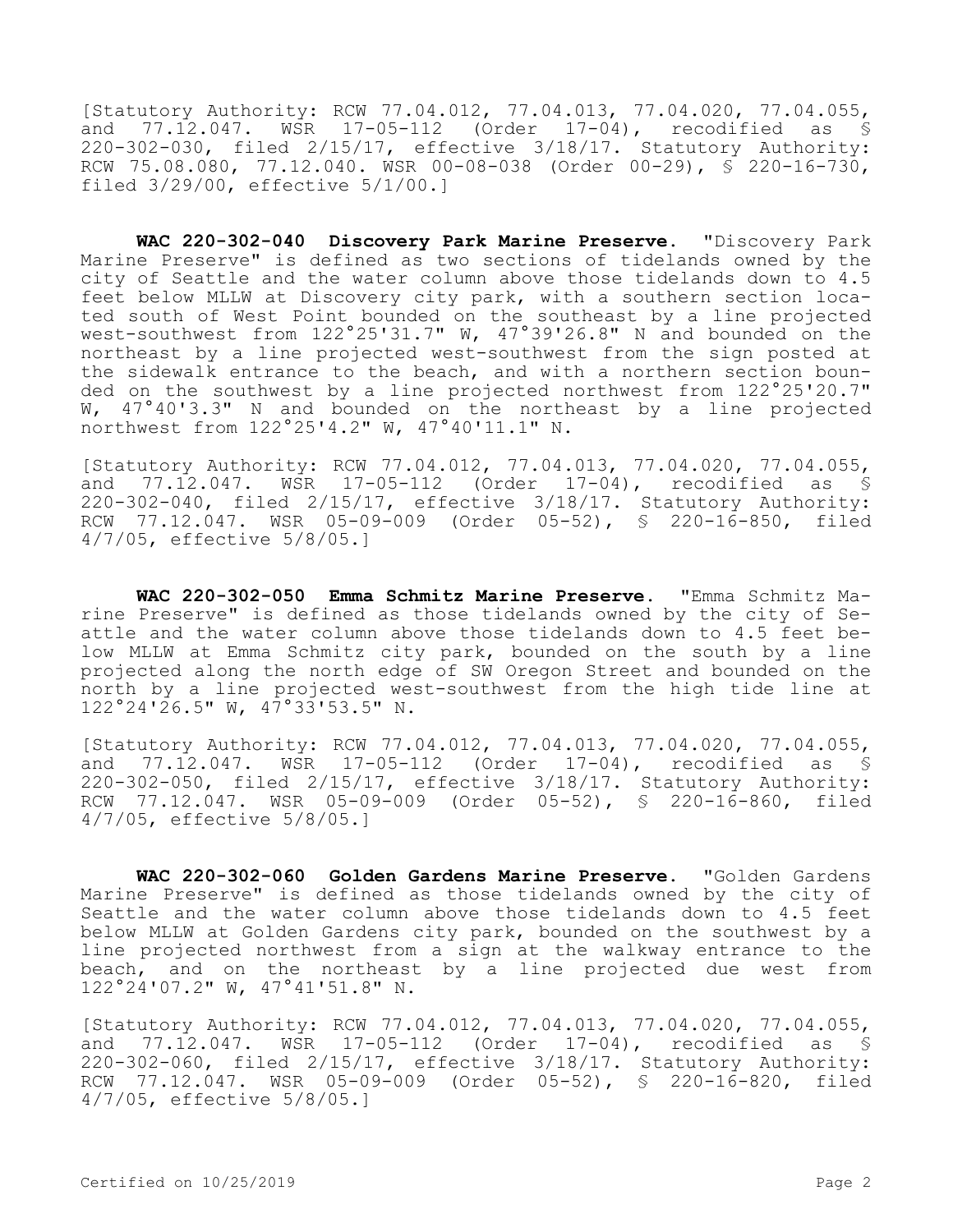[Statutory Authority: RCW 77.04.012, 77.04.013, 77.04.020, 77.04.055, and 77.12.047. WSR 17-05-112 (Order 17-04), recodified as § 220-302-030, filed 2/15/17, effective 3/18/17. Statutory Authority: RCW 75.08.080, 77.12.040. WSR 00-08-038 (Order 00-29), § 220-16-730, filed 3/29/00, effective 5/1/00.]

**WAC 220-302-040 Discovery Park Marine Preserve.** "Discovery Park Marine Preserve" is defined as two sections of tidelands owned by the city of Seattle and the water column above those tidelands down to 4.5 feet below MLLW at Discovery city park, with a southern section located south of West Point bounded on the southeast by a line projected west-southwest from 122°25'31.7" W, 47°39'26.8" N and bounded on the northeast by a line projected west-southwest from the sign posted at the sidewalk entrance to the beach, and with a northern section bounded on the southwest by a line projected northwest from 122°25'20.7" W, 47°40'3.3" N and bounded on the northeast by a line projected northwest from 122°25'4.2" W, 47°40'11.1" N.

[Statutory Authority: RCW 77.04.012, 77.04.013, 77.04.020, 77.04.055, and 77.12.047. WSR 17-05-112 (Order 17-04), recodified as § 220-302-040, filed 2/15/17, effective 3/18/17. Statutory Authority: RCW 77.12.047. WSR 05-09-009 (Order 05-52), § 220-16-850, filed 4/7/05, effective 5/8/05.]

**WAC 220-302-050 Emma Schmitz Marine Preserve.** "Emma Schmitz Marine Preserve" is defined as those tidelands owned by the city of Seattle and the water column above those tidelands down to 4.5 feet below MLLW at Emma Schmitz city park, bounded on the south by a line projected along the north edge of SW Oregon Street and bounded on the north by a line projected west-southwest from the high tide line at 122°24'26.5" W, 47°33'53.5" N.

[Statutory Authority: RCW 77.04.012, 77.04.013, 77.04.020, 77.04.055, and 77.12.047. WSR 17-05-112 (Order 17-04), recodified as § 220-302-050, filed 2/15/17, effective 3/18/17. Statutory Authority: RCW 77.12.047. WSR 05-09-009 (Order 05-52), § 220-16-860, filed 4/7/05, effective 5/8/05.]

**WAC 220-302-060 Golden Gardens Marine Preserve.** "Golden Gardens Marine Preserve" is defined as those tidelands owned by the city of Seattle and the water column above those tidelands down to 4.5 feet below MLLW at Golden Gardens city park, bounded on the southwest by a line projected northwest from a sign at the walkway entrance to the beach, and on the northeast by a line projected due west from 122°24'07.2" W, 47°41'51.8" N.

[Statutory Authority: RCW 77.04.012, 77.04.013, 77.04.020, 77.04.055, and 77.12.047. WSR 17-05-112 (Order 17-04), recodified as § 220-302-060, filed 2/15/17, effective 3/18/17. Statutory Authority: RCW 77.12.047. WSR 05-09-009 (Order 05-52), § 220-16-820, filed 4/7/05, effective 5/8/05.]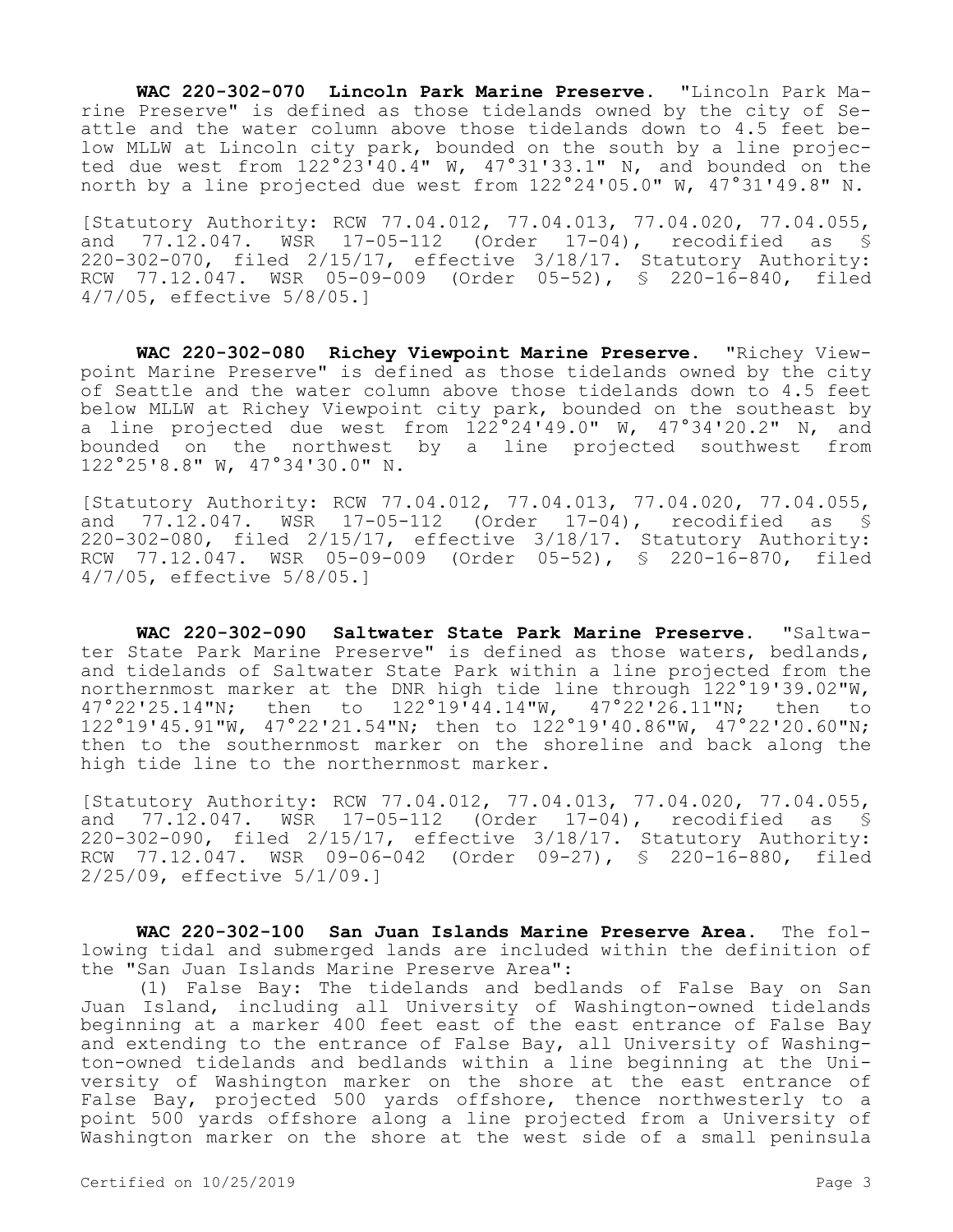**WAC 220-302-070 Lincoln Park Marine Preserve.** "Lincoln Park Marine Preserve" is defined as those tidelands owned by the city of Seattle and the water column above those tidelands down to 4.5 feet below MLLW at Lincoln city park, bounded on the south by a line projected due west from 122°23'40.4" W, 47°31'33.1" N, and bounded on the north by a line projected due west from 122°24'05.0" W, 47°31'49.8" N.

[Statutory Authority: RCW 77.04.012, 77.04.013, 77.04.020, 77.04.055, and 77.12.047. WSR 17-05-112 (Order 17-04), recodified as \$ 220-302-070, filed 2/15/17, effective 3/18/17. Statutory Authority: RCW 77.12.047. WSR 05-09-009 (Order 05-52), § 220-16-840, filed 4/7/05, effective 5/8/05.]

**WAC 220-302-080 Richey Viewpoint Marine Preserve.** "Richey Viewpoint Marine Preserve" is defined as those tidelands owned by the city of Seattle and the water column above those tidelands down to 4.5 feet below MLLW at Richey Viewpoint city park, bounded on the southeast by a line projected due west from 122°24'49.0" W, 47°34'20.2" N, and bounded on the northwest by a line projected southwest from 122°25'8.8" W, 47°34'30.0" N.

[Statutory Authority: RCW 77.04.012, 77.04.013, 77.04.020, 77.04.055, and 77.12.047. WSR 17-05-112 (Order 17-04), recodified as \$ 220-302-080, filed 2/15/17, effective 3/18/17. Statutory Authority: RCW 77.12.047. WSR 05-09-009 (Order 05-52), § 220-16-870, filed 4/7/05, effective 5/8/05.]

**WAC 220-302-090 Saltwater State Park Marine Preserve.** "Saltwater State Park Marine Preserve" is defined as those waters, bedlands, and tidelands of Saltwater State Park within a line projected from the northernmost marker at the DNR high tide line through 122°19'39.02"W, 47°22'25.14"N; then to 122°19'44.14"W, 47°22'26.11"N; then to 122°19'45.91"W, 47°22'21.54"N; then to 122°19'40.86"W, 47°22'20.60"N; then to the southernmost marker on the shoreline and back along the high tide line to the northernmost marker.

[Statutory Authority: RCW 77.04.012, 77.04.013, 77.04.020, 77.04.055, and 77.12.047. WSR 17-05-112 (Order 17-04), recodified as § 220-302-090, filed 2/15/17, effective 3/18/17. Statutory Authority: RCW 77.12.047. WSR 09-06-042 (Order 09-27), § 220-16-880, filed 2/25/09, effective 5/1/09.]

**WAC 220-302-100 San Juan Islands Marine Preserve Area.** The following tidal and submerged lands are included within the definition of the "San Juan Islands Marine Preserve Area":

(1) False Bay: The tidelands and bedlands of False Bay on San Juan Island, including all University of Washington-owned tidelands beginning at a marker 400 feet east of the east entrance of False Bay and extending to the entrance of False Bay, all University of Washington-owned tidelands and bedlands within a line beginning at the University of Washington marker on the shore at the east entrance of False Bay, projected 500 yards offshore, thence northwesterly to a point 500 yards offshore along a line projected from a University of Washington marker on the shore at the west side of a small peninsula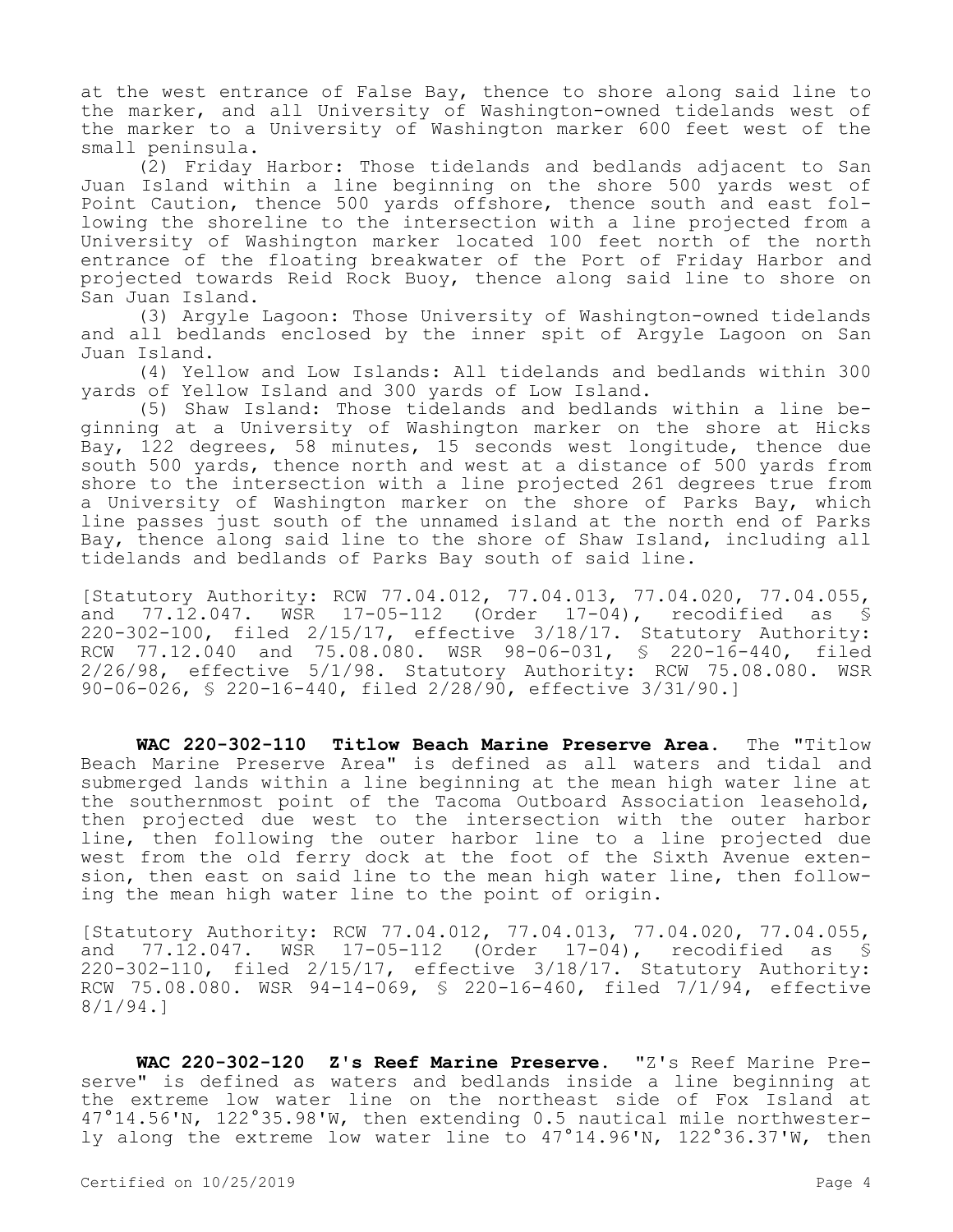at the west entrance of False Bay, thence to shore along said line to the marker, and all University of Washington-owned tidelands west of the marker to a University of Washington marker 600 feet west of the small peninsula.

(2) Friday Harbor: Those tidelands and bedlands adjacent to San Juan Island within a line beginning on the shore 500 yards west of Point Caution, thence 500 yards offshore, thence south and east following the shoreline to the intersection with a line projected from a University of Washington marker located 100 feet north of the north entrance of the floating breakwater of the Port of Friday Harbor and projected towards Reid Rock Buoy, thence along said line to shore on San Juan Island.

(3) Argyle Lagoon: Those University of Washington-owned tidelands and all bedlands enclosed by the inner spit of Argyle Lagoon on San Juan Island.

(4) Yellow and Low Islands: All tidelands and bedlands within 300 yards of Yellow Island and 300 yards of Low Island.

(5) Shaw Island: Those tidelands and bedlands within a line beginning at a University of Washington marker on the shore at Hicks Bay, 122 degrees, 58 minutes, 15 seconds west longitude, thence due south 500 yards, thence north and west at a distance of 500 yards from shore to the intersection with a line projected 261 degrees true from a University of Washington marker on the shore of Parks Bay, which line passes just south of the unnamed island at the north end of Parks Bay, thence along said line to the shore of Shaw Island, including all tidelands and bedlands of Parks Bay south of said line.

[Statutory Authority: RCW 77.04.012, 77.04.013, 77.04.020, 77.04.055, and 77.12.047. WSR 17-05-112 (Order 17-04), recodified as § 220-302-100, filed 2/15/17, effective 3/18/17. Statutory Authority: RCW 77.12.040 and 75.08.080. WSR 98-06-031, § 220-16-440, filed 2/26/98, effective 5/1/98. Statutory Authority: RCW 75.08.080. WSR 90-06-026, § 220-16-440, filed 2/28/90, effective 3/31/90.]

**WAC 220-302-110 Titlow Beach Marine Preserve Area.** The "Titlow Beach Marine Preserve Area" is defined as all waters and tidal and submerged lands within a line beginning at the mean high water line at the southernmost point of the Tacoma Outboard Association leasehold, then projected due west to the intersection with the outer harbor line, then following the outer harbor line to a line projected due west from the old ferry dock at the foot of the Sixth Avenue extension, then east on said line to the mean high water line, then following the mean high water line to the point of origin.

[Statutory Authority: RCW 77.04.012, 77.04.013, 77.04.020, 77.04.055, and 77.12.047. WSR 17-05-112 (Order 17-04), recodified as § 220-302-110, filed 2/15/17, effective 3/18/17. Statutory Authority: RCW 75.08.080. WSR 94-14-069, § 220-16-460, filed 7/1/94, effective 8/1/94.]

**WAC 220-302-120 Z's Reef Marine Preserve.** "Z's Reef Marine Preserve" is defined as waters and bedlands inside a line beginning at the extreme low water line on the northeast side of Fox Island at 47°14.56'N, 122°35.98'W, then extending 0.5 nautical mile northwesterly along the extreme low water line to 47°14.96'N, 122°36.37'W, then